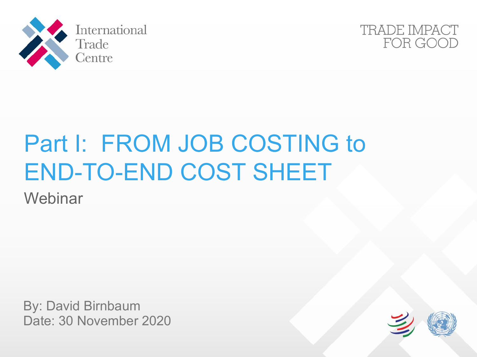



# Part I: FROM JOB COSTING to END-TO-END COST SHEET

**Webinar** 

By: David Birnbaum Date: 30 November 2020

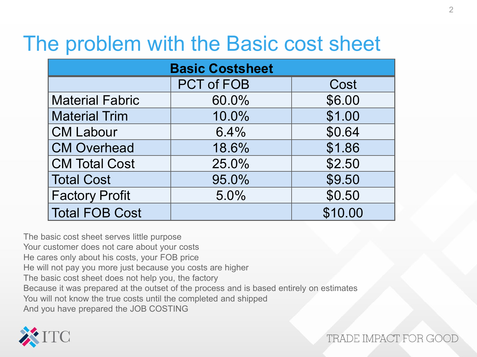#### The problem with the Basic cost sheet

| <b>Basic Costsheet</b> |                   |         |  |  |  |  |  |
|------------------------|-------------------|---------|--|--|--|--|--|
|                        | <b>PCT of FOB</b> | Cost    |  |  |  |  |  |
| <b>Material Fabric</b> | 60.0%             | \$6.00  |  |  |  |  |  |
| <b>Material Trim</b>   | 10.0%             | \$1.00  |  |  |  |  |  |
| <b>CM Labour</b>       | 6.4%              | \$0.64  |  |  |  |  |  |
| <b>CM Overhead</b>     | 18.6%             | \$1.86  |  |  |  |  |  |
| <b>CM Total Cost</b>   | 25.0%             | \$2.50  |  |  |  |  |  |
| <b>Total Cost</b>      | 95.0%             | \$9.50  |  |  |  |  |  |
| <b>Factory Profit</b>  | 5.0%              | \$0.50  |  |  |  |  |  |
| <b>Total FOB Cost</b>  |                   | \$10.00 |  |  |  |  |  |

The basic cost sheet serves little purpose Your customer does not care about your costs He cares only about his costs, your FOB price He will not pay you more just because you costs are higher The basic cost sheet does not help you, the factory Because it was prepared at the outset of the process and is based entirely on estimates You will not know the true costs until the completed and shipped And you have prepared the JOB COSTING

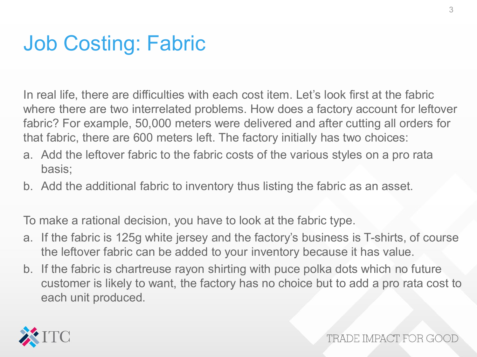### Job Costing: Fabric

In real life, there are difficulties with each cost item. Let's look first at the fabric where there are two interrelated problems. How does a factory account for leftover fabric? For example, 50,000 meters were delivered and after cutting all orders for that fabric, there are 600 meters left. The factory initially has two choices:

- a. Add the leftover fabric to the fabric costs of the various styles on a pro rata basis;
- b. Add the additional fabric to inventory thus listing the fabric as an asset.

To make a rational decision, you have to look at the fabric type.

- a. If the fabric is 125g white jersey and the factory's business is T-shirts, of course the leftover fabric can be added to your inventory because it has value.
- b. If the fabric is chartreuse rayon shirting with puce polka dots which no future customer is likely to want, the factory has no choice but to add a pro rata cost to each unit produced.

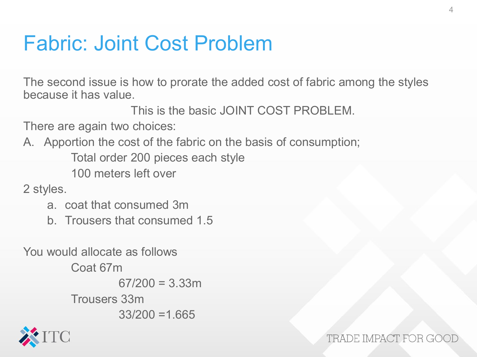#### Fabric: Joint Cost Problem

The second issue is how to prorate the added cost of fabric among the styles because it has value.

This is the basic JOINT COST PROBLEM.

There are again two choices:

A. Apportion the cost of the fabric on the basis of consumption;

Total order 200 pieces each style

100 meters left over

2 styles.

- a. coat that consumed 3m
- b. Trousers that consumed 1.5

You would allocate as follows Coat 67m  $67/200 = 3.33$ m Trousers 33m  $33/200 = 1.665$ 

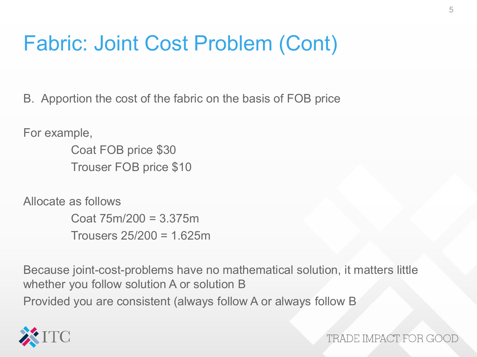### Fabric: Joint Cost Problem (Cont)

B. Apportion the cost of the fabric on the basis of FOB price

For example,

Coat FOB price \$30 Trouser FOB price \$10

Allocate as follows

Coat 75m/200 = 3.375m Trousers 25/200 = 1.625m

Because joint-cost-problems have no mathematical solution, it matters little whether you follow solution A or solution B Provided you are consistent (always follow A or always follow B

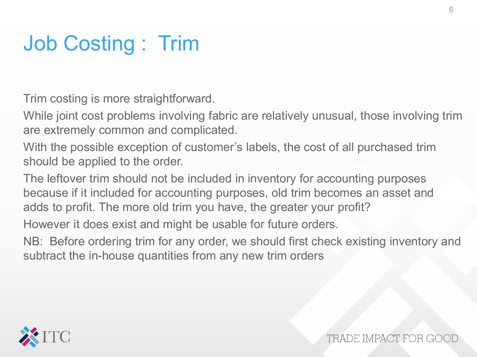### Job Costing : Trim

Trim costing is more straightforward.

While joint cost problems involving fabric are relatively unusual, those involving trim are extremely common and complicated.

With the possible exception of customer's labels, the cost of all purchased trim should be applied to the order.

The leftover trim should not be included in inventory for accounting purposes because if it included for accounting purposes, old trim becomes an asset and adds to profit. The more old trim you have, the greater your profit?

However it does exist and might be usable for future orders.

NB: Before ordering trim for any order, we should first check existing inventory and subtract the in-house quantities from any new trim orders

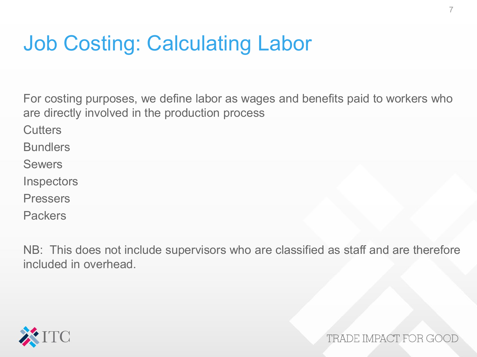### Job Costing: Calculating Labor

For costing purposes, we define labor as wages and benefits paid to workers who are directly involved in the production process

**Cutters** 

**Bundlers** 

Sewers

**Inspectors** 

Pressers

Packers

NB: This does not include supervisors who are classified as staff and are therefore included in overhead.

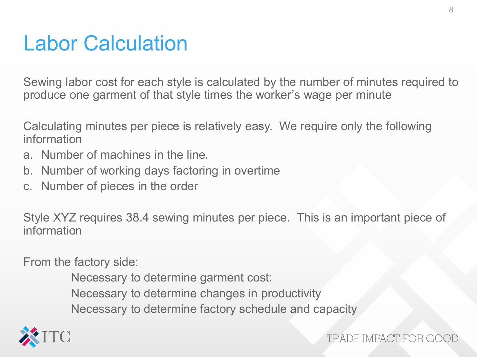#### Labor Calculation

Sewing labor cost for each style is calculated by the number of minutes required to produce one garment of that style times the worker's wage per minute

Calculating minutes per piece is relatively easy. We require only the following information

- a. Number of machines in the line.
- b. Number of working days factoring in overtime
- c. Number of pieces in the order

Style XYZ requires 38.4 sewing minutes per piece. This is an important piece of information

From the factory side:

Necessary to determine garment cost: Necessary to determine changes in productivity Necessary to determine factory schedule and capacity

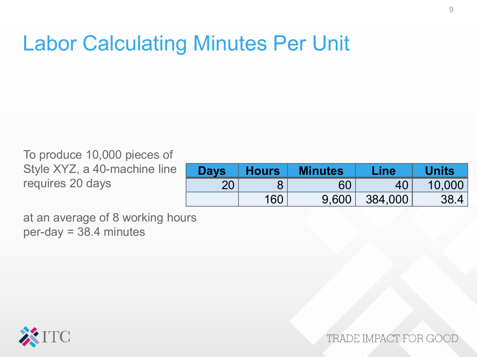#### Labor Calculating Minutes Per Unit

To produce 10,000 pieces of Style XYZ, a 40-machine line requires 20 days

| <b>Days</b> | <b>Hours</b>    | <b>Minutes</b> | Line    | <b>Units</b> |
|-------------|-----------------|----------------|---------|--------------|
| ററ          |                 | 60             |         | 10,000       |
|             | 16 <sup>c</sup> | 9.600          | 384,000 |              |

at an average of 8 working hours per-day = 38.4 minutes

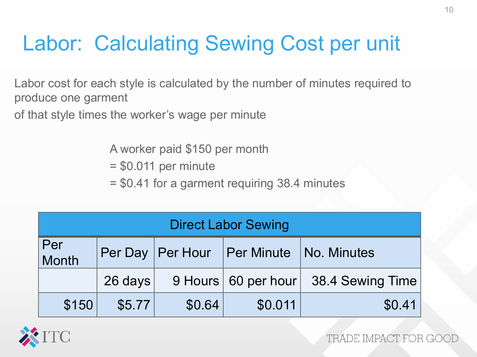# Labor: Calculating Sewing Cost per unit

- Labor cost for each style is calculated by the number of minutes required to produce one garment
- of that style times the worker's wage per minute

A worker paid \$150 per month

- = \$0.011 per minute
- = \$0.41 for a garment requiring 38.4 minutes

| <b>Direct Labor Sewing</b> |           |                    |         |                                      |  |  |  |  |
|----------------------------|-----------|--------------------|---------|--------------------------------------|--|--|--|--|
| Per<br>Month               |           | Per Day   Per Hour |         | <b>Per Minute   No. Minutes</b>      |  |  |  |  |
|                            | $26$ days |                    |         | 9 Hours 60 per hour 38.4 Sewing Time |  |  |  |  |
| \$150                      | \$5.77    | \$0.64             | \$0.011 | \$0.41                               |  |  |  |  |

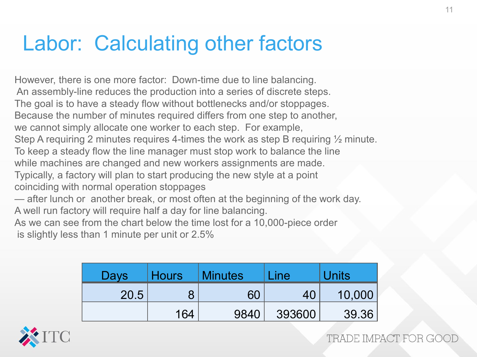### Labor: Calculating other factors

However, there is one more factor: Down-time due to line balancing. An assembly-line reduces the production into a series of discrete steps. The goal is to have a steady flow without bottlenecks and/or stoppages. Because the number of minutes required differs from one step to another, we cannot simply allocate one worker to each step. For example, Step A requiring 2 minutes requires 4-times the work as step B requiring ½ minute. To keep a steady flow the line manager must stop work to balance the line while machines are changed and new workers assignments are made. Typically, a factory will plan to start producing the new style at a point coinciding with normal operation stoppages — after lunch or another break, or most often at the beginning of the work day. A well run factory will require half a day for line balancing. As we can see from the chart below the time lost for a 10,000-piece order is slightly less than 1 minute per unit or 2.5%

| Days | Hours | <b>Minutes</b> | $\mathsf{Line}$ | Units  |  |
|------|-------|----------------|-----------------|--------|--|
| 20.5 |       | 60             | 40              | 10,000 |  |
|      | 164   | 9840           | 393600          | 39.36  |  |

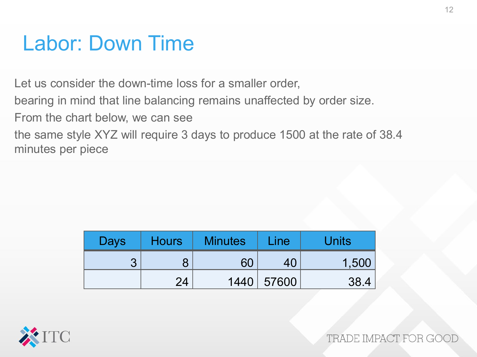#### Labor: Down Time

Let us consider the down-time loss for a smaller order,

bearing in mind that line balancing remains unaffected by order size.

From the chart below, we can see

the same style XYZ will require 3 days to produce 1500 at the rate of 38.4 minutes per piece

| <b>Days</b> | <b>Hours</b> | <b>Minutes</b> | Line  | <b>Units</b> |
|-------------|--------------|----------------|-------|--------------|
|             |              |                |       | 1,500        |
|             | 24           | 1440           | 57600 | 38.4         |

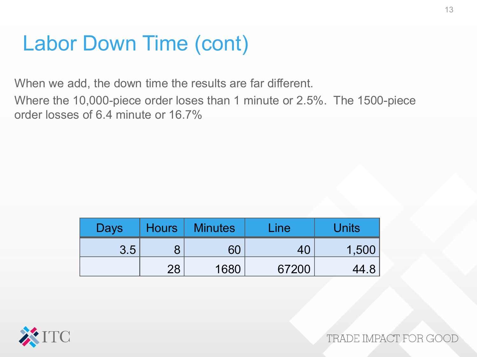### Labor Down Time (cont)

When we add, the down time the results are far different.

Where the 10,000-piece order loses than 1 minute or 2.5%. The 1500-piece order losses of 6.4 minute or 16.7%

| Days |    | Hours   Minutes | Line/ | Units |
|------|----|-----------------|-------|-------|
| 3.5  |    | 60              |       | 1,500 |
|      | 28 | 1680            | 67200 | 44.8  |

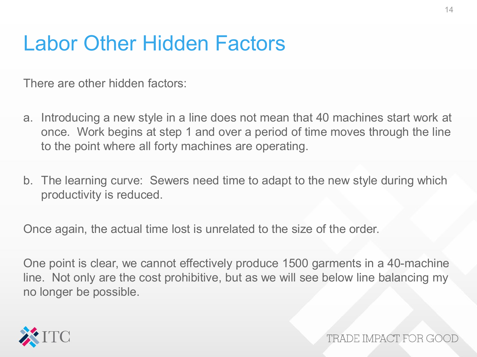#### Labor Other Hidden Factors

There are other hidden factors:

- a. Introducing a new style in a line does not mean that 40 machines start work at once. Work begins at step 1 and over a period of time moves through the line to the point where all forty machines are operating.
- b. The learning curve: Sewers need time to adapt to the new style during which productivity is reduced.

Once again, the actual time lost is unrelated to the size of the order.

One point is clear, we cannot effectively produce 1500 garments in a 40-machine line. Not only are the cost prohibitive, but as we will see below line balancing my no longer be possible.

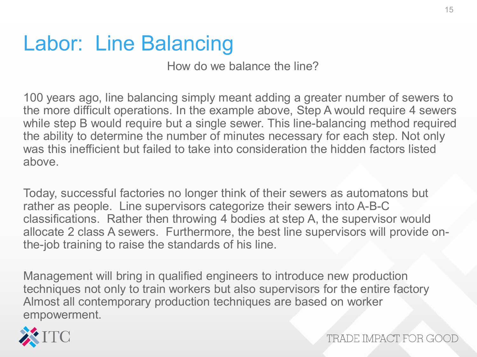### Labor: Line Balancing

How do we balance the line?

100 years ago, line balancing simply meant adding a greater number of sewers to the more difficult operations. In the example above, Step A would require 4 sewers while step B would require but a single sewer. This line-balancing method required the ability to determine the number of minutes necessary for each step. Not only was this inefficient but failed to take into consideration the hidden factors listed above.

Today, successful factories no longer think of their sewers as automatons but rather as people. Line supervisors categorize their sewers into A-B-C classifications. Rather then throwing 4 bodies at step A, the supervisor would allocate 2 class A sewers. Furthermore, the best line supervisors will provide onthe-job training to raise the standards of his line.

Management will bring in qualified engineers to introduce new production techniques not only to train workers but also supervisors for the entire factory Almost all contemporary production techniques are based on worker empowerment.

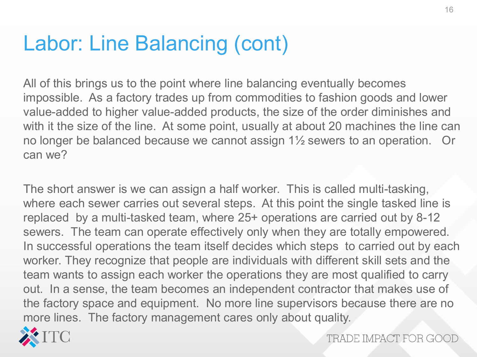### Labor: Line Balancing (cont)

All of this brings us to the point where line balancing eventually becomes impossible. As a factory trades up from commodities to fashion goods and lower value-added to higher value-added products, the size of the order diminishes and with it the size of the line. At some point, usually at about 20 machines the line can no longer be balanced because we cannot assign 1½ sewers to an operation. Or can we?

The short answer is we can assign a half worker. This is called multi-tasking, where each sewer carries out several steps. At this point the single tasked line is replaced by a multi-tasked team, where 25+ operations are carried out by 8-12 sewers. The team can operate effectively only when they are totally empowered. In successful operations the team itself decides which steps to carried out by each worker. They recognize that people are individuals with different skill sets and the team wants to assign each worker the operations they are most qualified to carry out. In a sense, the team becomes an independent contractor that makes use of the factory space and equipment. No more line supervisors because there are no more lines. The factory management cares only about quality.

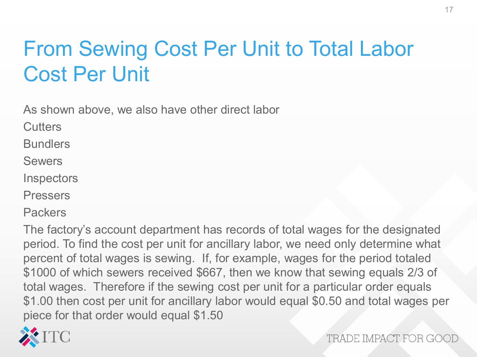# From Sewing Cost Per Unit to Total Labor Cost Per Unit

As shown above, we also have other direct labor

**Cutters** 

**Bundlers** 

Sewers

**Inspectors** 

Pressers

**Packers** 

The factory's account department has records of total wages for the designated period. To find the cost per unit for ancillary labor, we need only determine what percent of total wages is sewing. If, for example, wages for the period totaled \$1000 of which sewers received \$667, then we know that sewing equals 2/3 of total wages. Therefore if the sewing cost per unit for a particular order equals \$1.00 then cost per unit for ancillary labor would equal \$0.50 and total wages per piece for that order would equal \$1.50

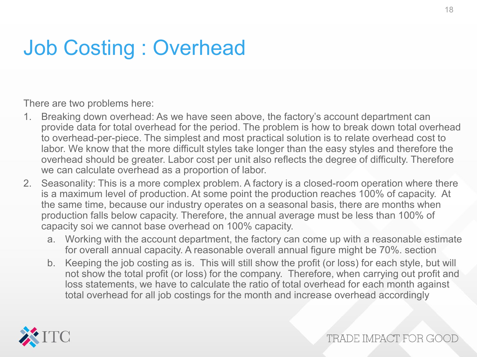# Job Costing : Overhead

There are two problems here:

- 1. Breaking down overhead: As we have seen above, the factory's account department can provide data for total overhead for the period. The problem is how to break down total overhead to overhead-per-piece. The simplest and most practical solution is to relate overhead cost to labor. We know that the more difficult styles take longer than the easy styles and therefore the overhead should be greater. Labor cost per unit also reflects the degree of difficulty. Therefore we can calculate overhead as a proportion of labor.
- 2. Seasonality: This is a more complex problem. A factory is a closed-room operation where there is a maximum level of production. At some point the production reaches 100% of capacity. At the same time, because our industry operates on a seasonal basis, there are months when production falls below capacity. Therefore, the annual average must be less than 100% of capacity soi we cannot base overhead on 100% capacity.
	- a. Working with the account department, the factory can come up with a reasonable estimate for overall annual capacity. A reasonable overall annual figure might be 70%. section
	- b. Keeping the job costing as is. This will still show the profit (or loss) for each style, but will not show the total profit (or loss) for the company. Therefore, when carrying out profit and loss statements, we have to calculate the ratio of total overhead for each month against total overhead for all job costings for the month and increase overhead accordingly

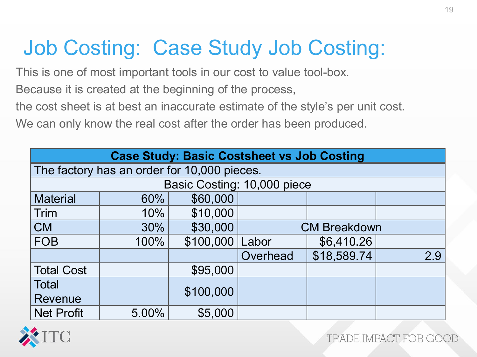# Job Costing: Case Study Job Costing:

This is one of most important tools in our cost to value tool-box.

Because it is created at the beginning of the process,

the cost sheet is at best an inaccurate estimate of the style's per unit cost.

We can only know the real cost after the order has been produced.

| <b>Case Study: Basic Costsheet vs Job Costing</b> |                                             |           |                             |             |     |  |  |  |  |
|---------------------------------------------------|---------------------------------------------|-----------|-----------------------------|-------------|-----|--|--|--|--|
|                                                   | The factory has an order for 10,000 pieces. |           |                             |             |     |  |  |  |  |
|                                                   |                                             |           | Basic Costing: 10,000 piece |             |     |  |  |  |  |
| <b>Material</b>                                   | 60%                                         | \$60,000  |                             |             |     |  |  |  |  |
| Trim                                              | 10%                                         | \$10,000  |                             |             |     |  |  |  |  |
| <b>CM</b>                                         | 30%                                         | \$30,000  | <b>CM Breakdown</b>         |             |     |  |  |  |  |
| <b>FOB</b>                                        | 100%                                        | \$100,000 | Labor                       | \$6,410.26  |     |  |  |  |  |
|                                                   |                                             |           | Overhead                    | \$18,589.74 | 2.9 |  |  |  |  |
| <b>Total Cost</b>                                 |                                             | \$95,000  |                             |             |     |  |  |  |  |
| <b>Total</b>                                      |                                             |           |                             |             |     |  |  |  |  |
| <b>Revenue</b>                                    |                                             | \$100,000 |                             |             |     |  |  |  |  |
| <b>Net Profit</b>                                 | 5.00%                                       | \$5,000   |                             |             |     |  |  |  |  |

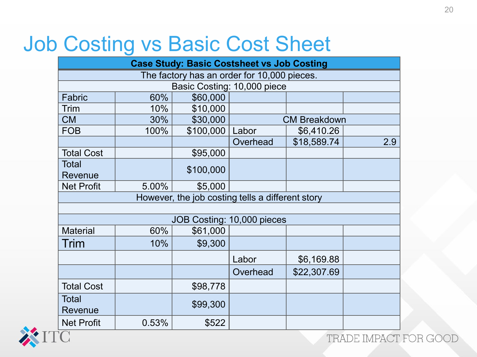### Job Costing vs Basic Cost Sheet

| <b>Case Study: Basic Costsheet vs Job Costing</b> |              |           |                                                  |                     |     |  |  |  |
|---------------------------------------------------|--------------|-----------|--------------------------------------------------|---------------------|-----|--|--|--|
| The factory has an order for 10,000 pieces.       |              |           |                                                  |                     |     |  |  |  |
| Basic Costing: 10,000 piece                       |              |           |                                                  |                     |     |  |  |  |
| Fabric                                            | 60%          | \$60,000  |                                                  |                     |     |  |  |  |
| <b>Trim</b>                                       | 10%          | \$10,000  |                                                  |                     |     |  |  |  |
| <b>CM</b>                                         | 30%          | \$30,000  |                                                  | <b>CM Breakdown</b> |     |  |  |  |
| <b>FOB</b>                                        | 100%         | \$100,000 | Labor                                            | \$6,410.26          |     |  |  |  |
|                                                   |              |           | Overhead                                         | \$18,589.74         | 2.9 |  |  |  |
| <b>Total Cost</b>                                 |              | \$95,000  |                                                  |                     |     |  |  |  |
| <b>Total</b>                                      |              | \$100,000 |                                                  |                     |     |  |  |  |
| Revenue                                           |              |           |                                                  |                     |     |  |  |  |
| <b>Net Profit</b>                                 | 5.00%        | \$5,000   |                                                  |                     |     |  |  |  |
|                                                   |              |           | However, the job costing tells a different story |                     |     |  |  |  |
|                                                   |              |           |                                                  |                     |     |  |  |  |
|                                                   |              |           | JOB Costing: 10,000 pieces                       |                     |     |  |  |  |
| <b>Material</b>                                   | 60%          | \$61,000  |                                                  |                     |     |  |  |  |
| Trim                                              | 10%          | \$9,300   |                                                  |                     |     |  |  |  |
|                                                   |              |           | Labor                                            | \$6,169.88          |     |  |  |  |
|                                                   |              |           | Overhead                                         | \$22,307.69         |     |  |  |  |
| <b>Total Cost</b>                                 |              | \$98,778  |                                                  |                     |     |  |  |  |
| Total<br>Revenue                                  |              | \$99,300  |                                                  |                     |     |  |  |  |
| <b>Net Profit</b>                                 | 0.53%        | \$522     |                                                  |                     |     |  |  |  |
|                                                   | TRADE IMPACT |           |                                                  |                     |     |  |  |  |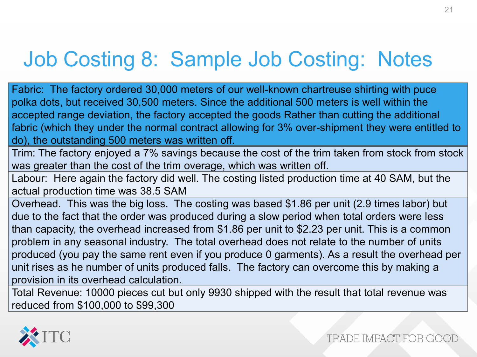# Job Costing 8: Sample Job Costing: Notes

Fabric: The factory ordered 30,000 meters of our well-known chartreuse shirting with puce polka dots, but received 30,500 meters. Since the additional 500 meters is well within the accepted range deviation, the factory accepted the goods Rather than cutting the additional fabric (which they under the normal contract allowing for 3% over-shipment they were entitled to do), the outstanding 500 meters was written off.

Trim: The factory enjoyed a 7% savings because the cost of the trim taken from stock from stock was greater than the cost of the trim overage, which was written off.

Labour: Here again the factory did well. The costing listed production time at 40 SAM, but the actual production time was 38.5 SAM

Overhead. This was the big loss. The costing was based \$1.86 per unit (2.9 times labor) but due to the fact that the order was produced during a slow period when total orders were less than capacity, the overhead increased from \$1.86 per unit to \$2.23 per unit. This is a common problem in any seasonal industry. The total overhead does not relate to the number of units produced (you pay the same rent even if you produce 0 garments). As a result the overhead per unit rises as he number of units produced falls. The factory can overcome this by making a provision in its overhead calculation.

Total Revenue: 10000 pieces cut but only 9930 shipped with the result that total revenue was reduced from \$100,000 to \$99,300

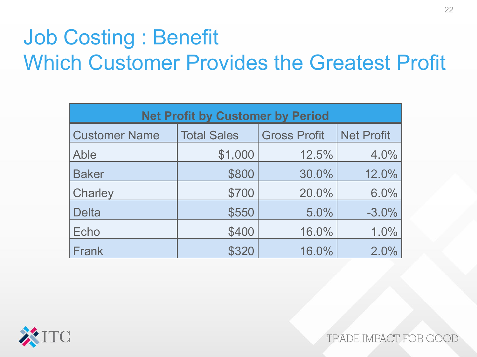# Job Costing : Benefit Which Customer Provides the Greatest Profit

| <b>Net Profit by Customer by Period</b> |                    |                     |                   |  |  |  |  |  |
|-----------------------------------------|--------------------|---------------------|-------------------|--|--|--|--|--|
| <b>Customer Name</b>                    | <b>Total Sales</b> | <b>Gross Profit</b> | <b>Net Profit</b> |  |  |  |  |  |
| Able                                    | \$1,000            | 12.5%               | 4.0%              |  |  |  |  |  |
| <b>Baker</b>                            | \$800              | 30.0%               | 12.0%             |  |  |  |  |  |
| <b>Charley</b>                          | \$700              | 20.0%               | 6.0%              |  |  |  |  |  |
| <b>Delta</b>                            | \$550              | 5.0%                | $-3.0%$           |  |  |  |  |  |
| Echo                                    | \$400              | 16.0%               | 1.0%              |  |  |  |  |  |
| Frank                                   | \$320              | 16.0%               | 2.0%              |  |  |  |  |  |

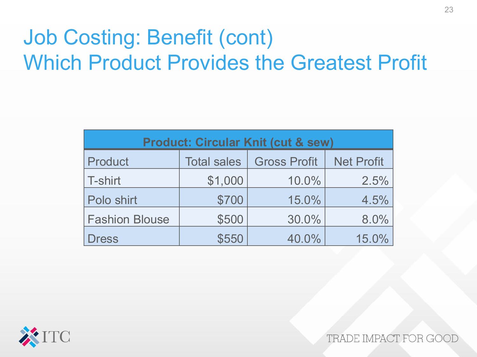# Job Costing: Benefit (cont) Which Product Provides the Greatest Profit

| <b>Product: Circular Knit (cut &amp; sew)</b> |                    |                     |                   |  |  |  |  |  |
|-----------------------------------------------|--------------------|---------------------|-------------------|--|--|--|--|--|
| Product                                       | <b>Total sales</b> | <b>Gross Profit</b> | <b>Net Profit</b> |  |  |  |  |  |
| <b>T-shirt</b>                                | \$1,000            | 10.0%               | 2.5%              |  |  |  |  |  |
| Polo shirt                                    | \$700              | 15.0%               | 4.5%              |  |  |  |  |  |
| <b>Fashion Blouse</b>                         | \$500              | 30.0%               | 8.0%              |  |  |  |  |  |
| <b>Dress</b>                                  | \$550              | 40.0%               | 15.0%             |  |  |  |  |  |

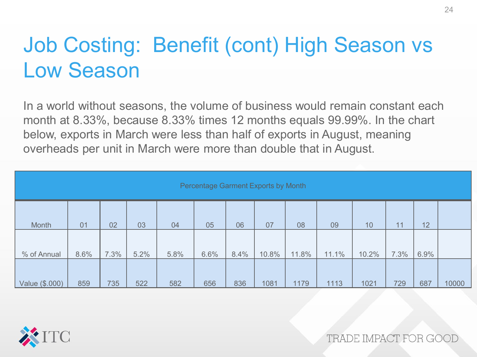# Job Costing: Benefit (cont) High Season vs Low Season

In a world without seasons, the volume of business would remain constant each month at 8.33%, because 8.33% times 12 months equals 99.99%. In the chart below, exports in March were less than half of exports in August, meaning overheads per unit in March were more than double that in August.

| Percentage Garment Exports by Month |      |      |      |      |      |      |       |       |       |       |      |      |       |
|-------------------------------------|------|------|------|------|------|------|-------|-------|-------|-------|------|------|-------|
| Month                               | 01   | 02   | 03   | 04   | 05   | 06   | 07    | 08    | 09    | 10    | 11   | 12   |       |
| % of Annual                         | 8.6% | 7.3% | 5.2% | 5.8% | 6.6% | 8.4% | 10.8% | 11.8% | 11.1% | 10.2% | 7.3% | 6.9% |       |
| Value (\$.000)                      | 859  | 735  | 522  | 582  | 656  | 836  | 1081  | 1179  | 1113  | 1021  | 729  | 687  | 10000 |

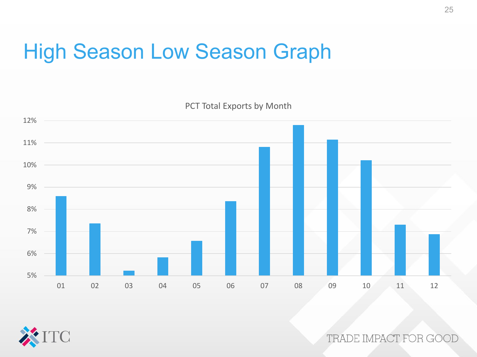### High Season Low Season Graph

PCT Total Exports by Month



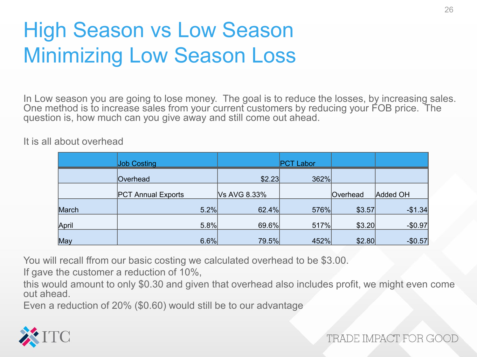# High Season vs Low Season Minimizing Low Season Loss

In Low season you are going to lose money. The goal is to reduce the losses, by increasing sales. One method is to increase sales from your current customers by reducing your FOB price. The question is, how much can you give away and still come out ahead.

It is all about overhead

|       | <b>Job Costing</b>        |              | <b>PCT Labor</b> |          |          |
|-------|---------------------------|--------------|------------------|----------|----------|
|       | Overhead                  | \$2.23       | 362%             |          |          |
|       | <b>PCT Annual Exports</b> | Vs AVG 8.33% |                  | Overhead | Added OH |
| March | 5.2%                      | 62.4%        | 576%             | \$3.57   | $-$1.34$ |
| April | 5.8%                      | 69.6%        | 517%             | \$3.20   | $-$0.97$ |
| May   | 6.6%                      | 79.5%        | 452%             | \$2.80   | $-$0.57$ |

You will recall ffrom our basic costing we calculated overhead to be \$3.00.

If gave the customer a reduction of 10%,

this would amount to only \$0.30 and given that overhead also includes profit, we might even come out ahead.

Even a reduction of 20% (\$0.60) would still be to our advantage

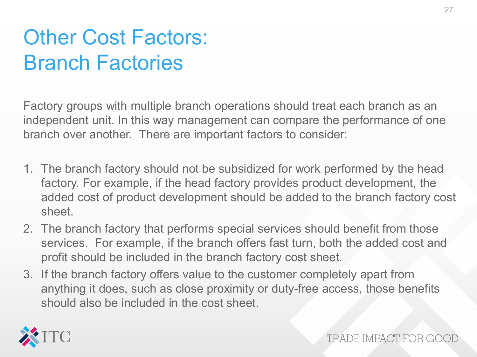# Other Cost Factors: Branch Factories

Factory groups with multiple branch operations should treat each branch as an independent unit. In this way management can compare the performance of one branch over another. There are important factors to consider:

- 1. The branch factory should not be subsidized for work performed by the head factory. For example, if the head factory provides product development, the added cost of product development should be added to the branch factory cost sheet.
- 2. The branch factory that performs special services should benefit from those services. For example, if the branch offers fast turn, both the added cost and profit should be included in the branch factory cost sheet.
- 3. If the branch factory offers value to the customer completely apart from anything it does, such as close proximity or duty-free access, those benefits should also be included in the cost sheet.

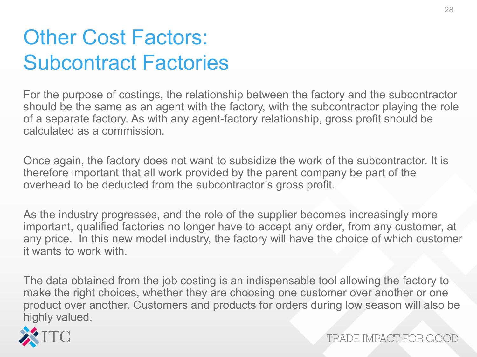### Other Cost Factors: Subcontract Factories

For the purpose of costings, the relationship between the factory and the subcontractor should be the same as an agent with the factory, with the subcontractor playing the role of a separate factory. As with any agent-factory relationship, gross profit should be calculated as a commission.

Once again, the factory does not want to subsidize the work of the subcontractor. It is therefore important that all work provided by the parent company be part of the overhead to be deducted from the subcontractor's gross profit.

As the industry progresses, and the role of the supplier becomes increasingly more important, qualified factories no longer have to accept any order, from any customer, at any price. In this new model industry, the factory will have the choice of which customer it wants to work with.

The data obtained from the job costing is an indispensable tool allowing the factory to make the right choices, whether they are choosing one customer over another or one product over another. Customers and products for orders during low season will also be highly valued.

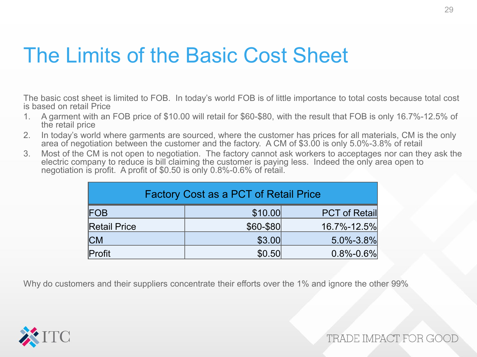#### The Limits of the Basic Cost Sheet

The basic cost sheet is limited to FOB. In today's world FOB is of little importance to total costs because total cost is based on retail Price

- 1. A garment with an FOB price of \$10.00 will retail for \$60-\$80, with the result that FOB is only 16.7%-12.5% of the retail price
- 2. In today's world where garments are sourced, where the customer has prices for all materials, CM is the only area of negotiation between the customer and the factory. A CM of \$3.00 is only 5.0%-3.8% of retail
- 3. Most of the CM is not open to negotiation. The factory cannot ask workers to acceptages nor can they ask the electric company to reduce is bill claiming the customer is paying less. Indeed the only area open to negotiation is profit. A profit of \$0.50 is only 0.8%-0.6% of retail.

| <b>Factory Cost as a PCT of Retail Price</b> |           |                      |  |
|----------------------------------------------|-----------|----------------------|--|
| FOB                                          | \$10.00   | <b>PCT of Retail</b> |  |
| <b>Retail Price</b>                          | \$60-\$80 | 16.7%-12.5%          |  |
| СM                                           | \$3.00    | $5.0\% - 3.8\%$      |  |
| Profit                                       | \$0.50    | $0.8\% - 0.6\%$      |  |

Why do customers and their suppliers concentrate their efforts over the 1% and ignore the other 99%

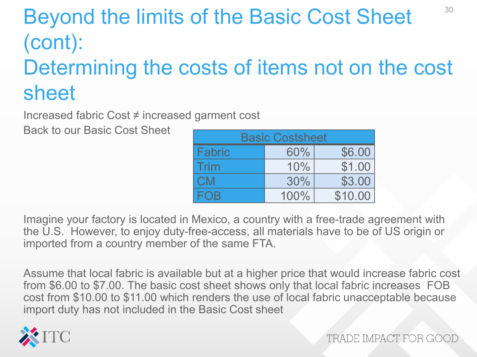#### Beyond the limits of the Basic Cost Sheet (cont): 30

# Determining the costs of items not on the cost sheet

Increased fabric Cost ≠ increased garment cost

Back to our Basic Cost Sheet

| <b>Basic Costsheet</b> |      |         |  |  |
|------------------------|------|---------|--|--|
| <b>Fabric</b>          | 60%  | \$6.00  |  |  |
| Trim                   | 10%  | \$1.00  |  |  |
| <b>CM</b>              | 30%  | \$3.00  |  |  |
| FOB                    | 100% | \$10.00 |  |  |

Imagine your factory is located in Mexico, a country with a free-trade agreement with the U.S. However, to enjoy duty-free-access, all materials have to be of US origin or imported from a country member of the same FTA.

Assume that local fabric is available but at a higher price that would increase fabric cost from \$6.00 to \$7.00. The basic cost sheet shows only that local fabric increases FOB cost from \$10.00 to \$11.00 which renders the use of local fabric unacceptable because import duty has not included in the Basic Cost sheet

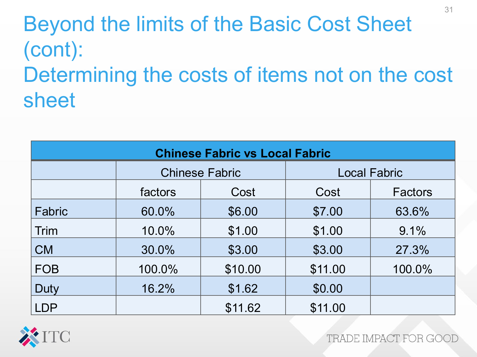# Beyond the limits of the Basic Cost Sheet (cont): Determining the costs of items not on the cost sheet

| <b>Chinese Fabric vs Local Fabric</b> |                       |         |                     |         |
|---------------------------------------|-----------------------|---------|---------------------|---------|
|                                       | <b>Chinese Fabric</b> |         | <b>Local Fabric</b> |         |
|                                       | factors               | Cost    | Cost                | Factors |
| Fabric                                | 60.0%                 | \$6.00  | \$7.00              | 63.6%   |
| Trim                                  | 10.0%                 | \$1.00  | \$1.00              | 9.1%    |
| <b>CM</b>                             | 30.0%                 | \$3.00  | \$3.00              | 27.3%   |
| <b>FOB</b>                            | 100.0%                | \$10.00 | \$11.00             | 100.0%  |
| Duty                                  | 16.2%                 | \$1.62  | \$0.00              |         |
| <b>LDP</b>                            |                       | \$11.62 | \$11.00             |         |

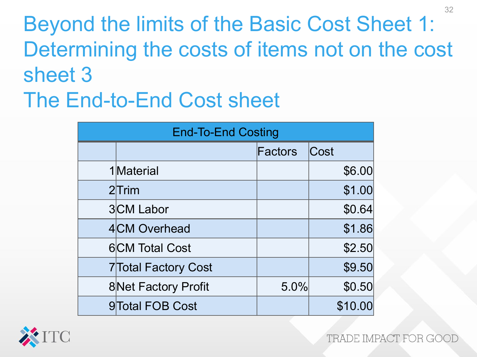Beyond the limits of the Basic Cost Sheet 1: Determining the costs of items not on the cost sheet 3 The End-to-End Cost sheet

| <b>End-To-End Costing</b> |                             |         |         |
|---------------------------|-----------------------------|---------|---------|
|                           |                             | Factors | Cost    |
|                           | 1Material                   |         | \$6.00  |
|                           | $2$ Trim                    |         | \$1.00  |
|                           | 3CM Labor                   |         | \$0.64  |
|                           | 4CM Overhead                |         | \$1.86  |
|                           | <b>6</b> CM Total Cost      |         | \$2.50  |
|                           | <b>7</b> Total Factory Cost |         | \$9.50  |
|                           | <b>8Net Factory Profit</b>  | 5.0%    | \$0.50  |
|                           | 9 Total FOB Cost            |         | \$10.00 |



TRADE IMPACT FOR GOO

32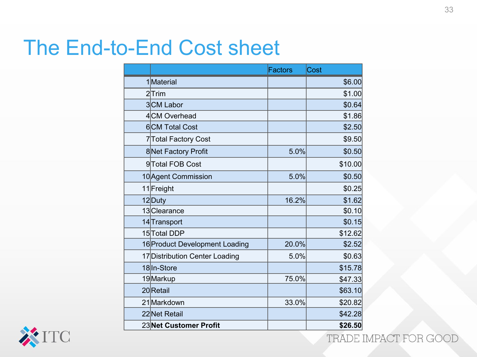#### The End-to-End Cost sheet

|                                | <b>Factors</b> | Cost    |
|--------------------------------|----------------|---------|
| 1Material                      |                | \$6.00  |
| $2$ Trim                       |                | \$1.00  |
| 3CM Labor                      |                | \$0.64  |
| 4CM Overhead                   |                | \$1.86  |
| 6CM Total Cost                 |                | \$2.50  |
| 7 Total Factory Cost           |                | \$9.50  |
| 8Net Factory Profit            | 5.0%           | \$0.50  |
| 9Total FOB Cost                |                | \$10.00 |
| 10 Agent Commission            | 5.0%           | \$0.50  |
| 11 Freight                     |                | \$0.25  |
| 12Duty                         | 16.2%          | \$1.62  |
| 13Clearance                    |                | \$0.10  |
| 14 Transport                   |                | \$0.15  |
| 15 Total DDP                   |                | \$12.62 |
| 16 Product Development Loading | 20.0%          | \$2.52  |
| 17 Distribution Center Loading | 5.0%           | \$0.63  |
| 18ln-Store                     |                | \$15.78 |
| 19Markup                       | 75.0%          | \$47.33 |
| 20 Retail                      |                | \$63.10 |
| 21 Markdown                    | 33.0%          | \$20.82 |
| 22 Net Retail                  |                | \$42.28 |
| 23Net Customer Profit          |                | \$26.50 |

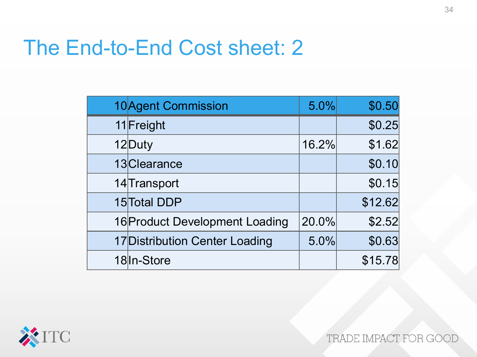#### The End-to-End Cost sheet: 2

| 10 Agent Commission            | 5.0%  | \$0.50  |
|--------------------------------|-------|---------|
| 11 Freight                     |       | \$0.25  |
| 12 Duty                        | 16.2% | \$1.62  |
| 13Clearance                    |       | \$0.10  |
| 14 Transport                   |       | \$0.15  |
| 15 Total DDP                   |       | \$12.62 |
| 16 Product Development Loading | 20.0% | \$2.52  |
| 17 Distribution Center Loading | 5.0%  | \$0.63  |
| 18 In-Store                    |       | \$15.78 |

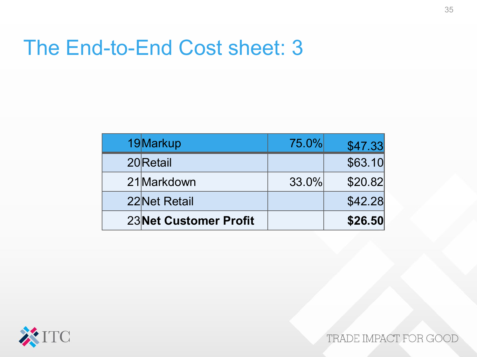#### The End-to-End Cost sheet: 3

| 19Markup               | 75.0% | \$47.33 |
|------------------------|-------|---------|
| 20 Retail              |       | \$63.10 |
| 21 Markdown            | 33.0% | \$20.82 |
| 22 Net Retail          |       | \$42.28 |
| 23 Net Customer Profit |       | \$26.50 |

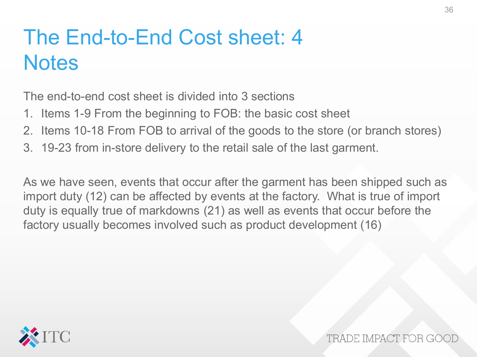### The End-to-End Cost sheet: 4 **Notes**

The end-to-end cost sheet is divided into 3 sections

- 1. Items 1-9 From the beginning to FOB: the basic cost sheet
- 2. Items 10-18 From FOB to arrival of the goods to the store (or branch stores)
- 3. 19-23 from in-store delivery to the retail sale of the last garment.

As we have seen, events that occur after the garment has been shipped such as import duty (12) can be affected by events at the factory. What is true of import duty is equally true of markdowns (21) as well as events that occur before the factory usually becomes involved such as product development (16)

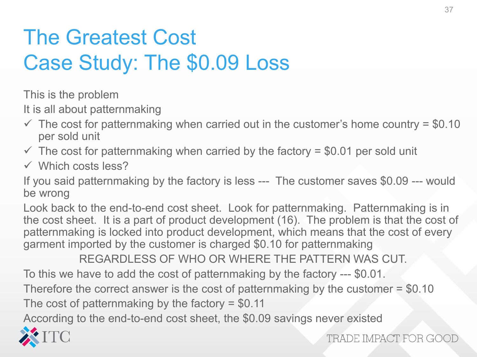# The Greatest Cost Case Study: The \$0.09 Loss

This is the problem

It is all about patternmaking

- $\checkmark$  The cost for patternmaking when carried out in the customer's home country = \$0.10 per sold unit
- $\checkmark$  The cost for patternmaking when carried by the factory = \$0.01 per sold unit
- $\checkmark$  Which costs less?

If you said patternmaking by the factory is less --- The customer saves \$0.09 --- would be wrong

Look back to the end-to-end cost sheet. Look for patternmaking. Patternmaking is in the cost sheet. It is a part of product development (16). The problem is that the cost of patternmaking is locked into product development, which means that the cost of every garment imported by the customer is charged \$0.10 for patternmaking

REGARDLESS OF WHO OR WHERE THE PATTERN WAS CUT. To this we have to add the cost of patternmaking by the factory --- \$0.01. Therefore the correct answer is the cost of patternmaking by the customer = \$0.10 The cost of patternmaking by the factory  $= $0.11$ 

According to the end-to-end cost sheet, the \$0.09 savings never existed